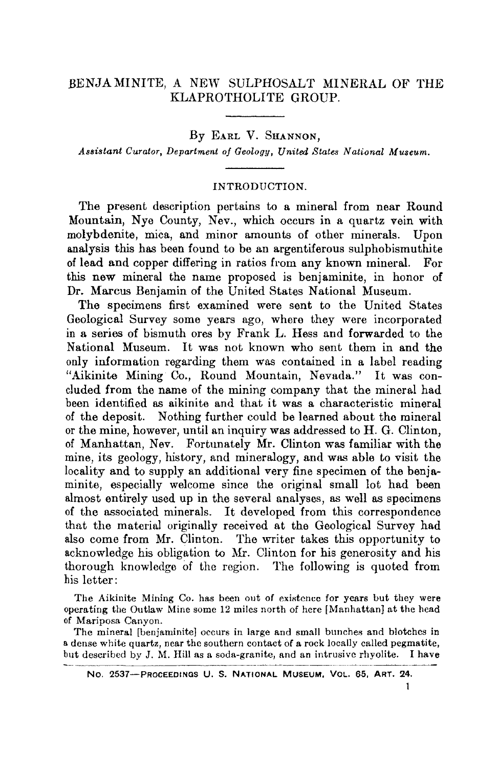# ,BENJAMINITE, A NEW SULPHOSALT MINERAL OF THE KLAPROTHOLITE GROUP.

By EARL V. SHANNON,

*Assistant Curator, Department of Geology, United States National Museum.*

#### INTRODUCTION.

The present description pertains to a mineral from near Round Mountain, Nye County, Nev., which occurs in a quartz vein with molybdenite, mica, and minor amounts of other minerals. Upon analysis this has been found to be an argentiferous sulphobismuthite of lead and copper differing in ratios from any known mineral. For this new mineral the name proposed is benjaminite, in honor of Dr. Marcus Benjamin of the United States National Museum.

The specimens first examined were sent to the United States Geological Survey some years ago, where they were incorporated in a series of bismuth ores by Frank L. Hess and forwarded to the National Museum. It was not known who sent them in and the only information regarding them was contained in a label reading "Aikinite Mining Co., Round Mountain, Nevada." It was concluded from the name of the mining company that the mineral had been identified as aikinite and that it was a characteristic mineral of the deposit. Nothing further could be learned about the mineral or the mine, however, until an inquiry was addressed to H. G. Clinton, of Manhattan, Nev. Fortunately Mr. Clinton was familiar with the mine, its geology, history, and mineralogy, and was able to visit the locality and to supply an additional very fine specimen of the benjaminite, especially welcome since the original small lot had been almost entirely used up in the several analyses, as well as specimens of the associated minerals. It developed from this correspondence that the material originally received at the Geological Survey had also come from Mr. Clinton. The writer takes this opportunity to acknowledge his obligation to Mr. Clinton for his generosity and his thorough knowledge of the region. The following is quoted from his letter:

The Aikinite Mining Co. has been out of existence for years but they were operating the Outlaw Mine some 12 miles north of here [Manhattan] at the head of Mariposa Canyon.

The mineral [benjaminite] occurs in large and small bunches and blotches in a dense white quartz, near the southern contact of a rock locally called pegmatite, but described by J. M. Hill as a soda-granite, and an intrusive rhyolite. I have

No. 2537-PROCEEDINQS U. S. NATIONAL MUSEUM. VOL. 65. ART. 24.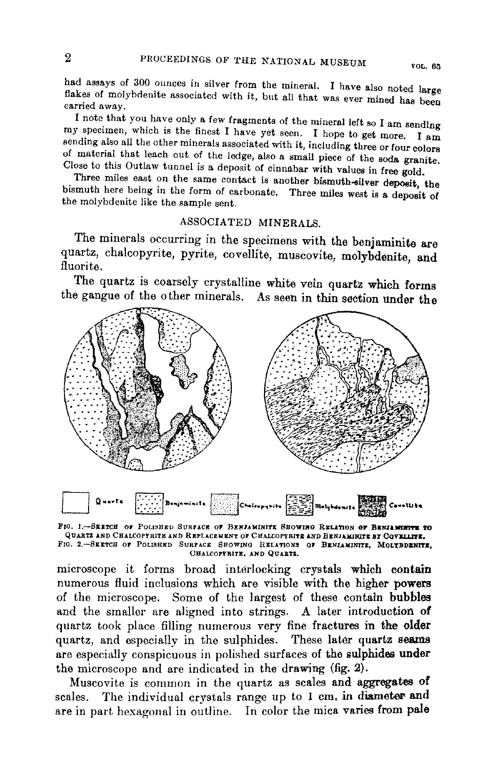had assays of 300 ounces in silver from the mineral. I have also noted large flakes of molybdenite associated with it, but all that was ever mined has been carried away.

I note that you have only a few fragments of the mineral left so I am sending my specimen, which is the finest I have yet seen. I hope to get more. I am sending also all the other minerals associated with it, including three or four colors of material that leach out of the ledge, also a small piece of the soda granite. Close to this Outlaw tunnel is a deposit of cinnabar with values in free gold.

Three miles east on the same contact is another bismuth-silver deposit, the bismuth here being in the form of carbonate. Three miles west is a deposit of the molybdenite like the sample sent.

#### ASSOCIATED MINERALS

The minerals occurring in the specimens with the benjaminite are quartz, chalcopyrite, pyrite, covellite, muscovite, molybdenite, and fluorite.

The quartz is coarsely crystalline white vein quartz which forms the gangue of the other minerals. As seen in thin section under the



FIG. 1.-SEETCH OF POLISHED SURFACE OF BENJAMINITE SHOWING RELATION OF BENJAMINITE TO QUARTZ AND CHALCOPTRITE AND REPLACEMENT OF CHALCOPTRITE AND BENJAMINITE BY COVELLITE. FIG. 2.-SEETCH OF POLISHED SURFACE SHOWING RELATIONS OF BENJAMINITE, MOLYBDENITE, CHALCOPYRITE, AND QUARTS.

microscope it forms broad interlocking crystals which contain numerous fluid inclusions which are visible with the higher powers of the microscope. Some of the largest of these contain bubbles and the smaller are aligned into strings. A later introduction of quartz took place filling numerous very fine fractures in the older quartz, and especially in the sulphides. These later quartz seams are especially conspicuous in polished surfaces of the sulphides under the microscope and are indicated in the drawing (fig. 2).

Muscovite is common in the quartz as scales and aggregates of The individual crystals range up to 1 cm, in diameter and scales. are in part hexagonal in outline. In color the mica varies from pale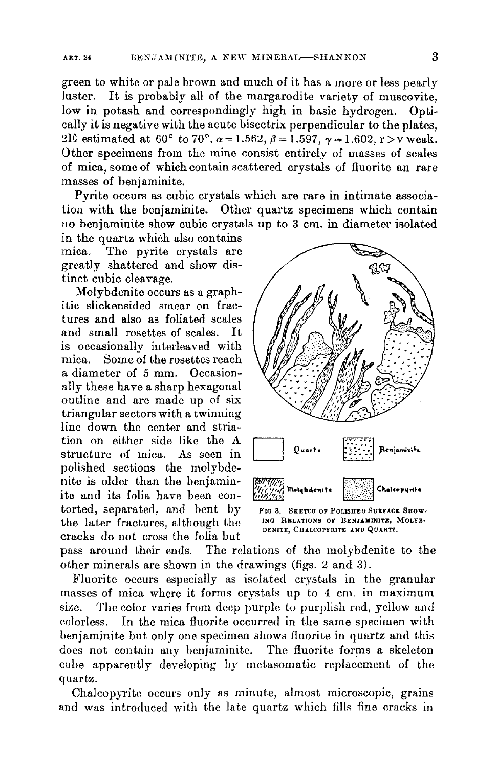green to white or pale brown and much of it has a more or less pearly luster. It is probably all of the margarodite variety of muscovite, low in potash and correspondingly high in basic hydrogen. Optically it is negative with the acute bisectrix perpendicular to the plates, 2E estimated at 60° to 70°,  $\alpha = 1.562$ ,  $\beta = 1.597$ ,  $\gamma = 1.602$ ,  $r > v$  weak. Other specimens from the mine consist entirely of masses of scales of mica, some of which contain scattered crystals of fluorite an rare masses of benjaminite.

Pyrite occurs as cubic crystals which are rare in intimate association with the benjaminite. Other quartz specimens which contain no benjaminite show cubic crystals up to 3 em. in diameter isolated

in the quartz which also contains mica. The pyrite crystals are greatly shattered and show distinct cubic cleavage.

Molybdenite occurs as a graphitic slickensided smear on fractures and also as foliated scales and small rosettes of scales. It is occasionally interleaved with mica. Some of the rosettes reach a diameter of 5 mm. Occasionally these have a sharp hexagonal outline and are made up of six triangular sectors with a twinning line down the center and striation on either side like the structure of mica. As seen in polished sections the molybde nite is older than the benjaminite and its folia have been contorted, separated, and bent by the later fractures, although the cracks do not cross the folia but



**DENtTE. CHALCOPYRITE A.ND QUARTZ.**

pass around their ends. The relations of the molybdenite to the other minerals are shown in the drawings (figs. 2 and 3).

Fluorite occurs especially as isolated crystals in the granular masses of mica where it forms crystals up to 4 em. in maximum size. The color varies from deep purple to purplish red, yellow and colorless. In the mica fluorite occurred in the same specimen with benjaminite but only one specimen shows fluorite in quartz and this docs not contain any benjaminite. The fluorite forms a skeleton cube apparently developing by metasomatic replacement of the quartz.

Chalcopyrite occurs only as minute, almost microscopic, grains and was introduced with the late quartz which fills fine cracks in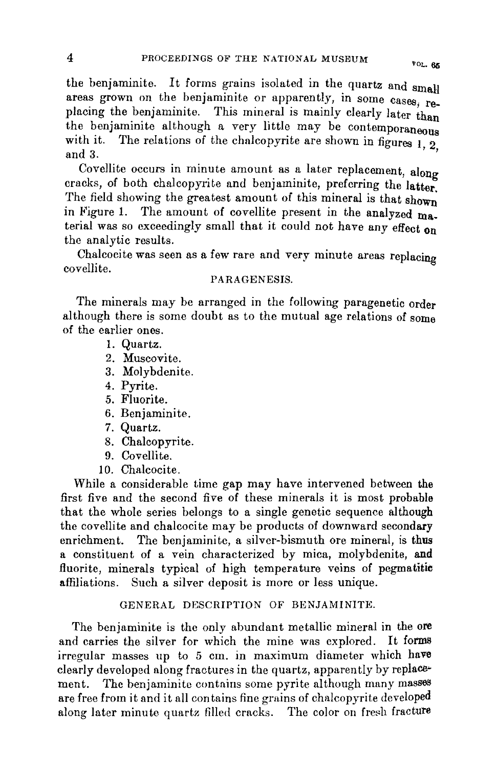the benjaminite. It forms grains isolated in the quartz and small areas grown on the benjaminite or apparently, in some cases, replacing the benjaminite. This mineral is mainly clearly later than placing the benjaminite. This initial is mainly clearly later than<br>the benjaminite although a very little may be contemporaneous with it. The relations of the chalcopyrite are shown in figures  $\mathbf{1}$  2 and 3.

Covellite occurs in minute amount as a later replacement, along cracks, of both chalcopyrite and benjaminite, preferring the latter. The field showing the greatest amount of this mineral is that shown in Figure 1. The amount of eovellite present in the analyzed material was so exceedingly small that it could not have any effect on the analytic results.

Chalcocite was seen as a few rare and very minute areas replacing covellite.

### PARAGENESIS.

The minerals may be arranged in the following paragenetic order although there is some doubt as to the mutual age relations of some of the earlier ones.

- I. Quartz.
- 2. Muscovite.
- 3. Molybdenite.
- 4. Pyrite.
- 5. Fluorite.
- 6. Benjaminite.
- 7. Quartz.
- 8. Chalcopyrite.
- 9. Covellite.
- 10. Chalcocite.

While a considerable time gap may have intervened between the first five and the second five of these minerals it is most probable that the whole series belongs to a single genetic sequence although the covellite and chalcocite may be products of downward secondary enrichment. The benjaminite, a silver-bismuth ore mineral, is thus a constituent of a vein characterized by mica, molybdenite, and fluorite, minerals typical of high temperature veins of pegmatitie affiliations. Such a silver deposit is more or less unique.

### GENERAL DESCRIPTION OF BENJAMINITE.

The benjaminite is the only abundant metallic mineral in the ore and carries the silver for which the mine was explored. It forma irregular masses up to 5 em. in maximum diameter which have clearly developed along fractures in the quartz, apparently by replaw ment. The benjaminite contains some pyrite although many masses are free from it and it all contains fine grains of chalcopyrite developed along later minute quartz filled cracks. The color on fresh fracture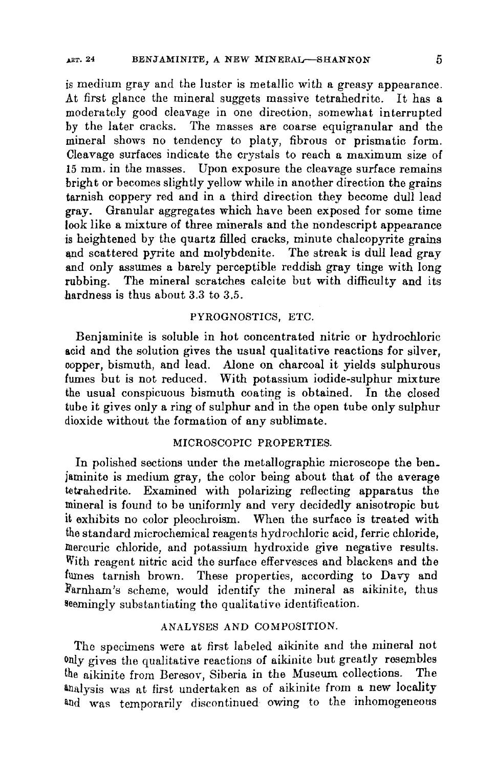is medium gray and the luster is metallic with a greasy appearance. At first glance the mineral suggets massive tetrahedrite. It has <sup>a</sup> moderately good cleavage in one direction, somewhat interrupted by the later cracks. The masses are coarse equigranular and the mineral shows no tendency to platy, fibrous or prismatic form. Cleavage surfaces indicate the crystals to reach a maximum size of 15 mm. in the masses. Upon exposure the cleavage surface remains bright or becomes slightly yellow while in another direction the grains tarnish coppery red and in a third direction they become dull lead gray. Granular aggregates which have been exposed for some time look like a mixture of three minerals and the nondescript appearance is heightened by the quartz filled cracks, minute chalcopyrite grains and scattered pyrite and molybdenite. The streak is dull lead gray and only assumes a barely perceptible reddish gray tinge with long rubbing. The mineral scratches calcite but with difficulty and its .hardness is thus about 3.3 to 3.5.

## PYROGNOSTICS, ETC.

Benjaminite is soluble in hot concentrated nitric or hydrochloric acid and the solution gives the usual qualitative reactions for silver, copper, bismuth, and lead. Alone on charcoal it yields sulphurous fumes but is not reduced. With potassium iodide-sulphur mixture the usual conspicuous bismuth coating is obtained. In the closed tube it gives only a ring of sulphur and in the open tube only sulphur dioxide without the formation of any sublimate.

## MICROSCOPIC PROPERTIES.

In polished sections under the metallographic microscope the ben\_ jaminite is medium gray, the color being about that of the average tetrahedrite. Examined with polarizing reflecting apparatus the mineral is found to be uniformly and very decidedly anisotropic but it exhibits no color pleochroism. When the surface is treated with the standard microchemical reagents hydrochloric acid, ferric chloride, mercuric chloride, and potassium hydroxide give negative results. With reagent nitric acid the surface effervesces and blackens and the fumes tarnish brown. These properties, according to Davy and Farnham's scheme, would identify the mineral as aikinite, thus seemingly substantiating the qualitative identification.

# ANALYSES AND COMPOSITION.

The specimens were at first labeled aikinite and the mineral not only gives the qualitative reactions of aikinite but greatly resembles the aikinite from Beresov, Siberia in the Museum collections. The analysis was at first undertaken as of aikinite from a new locality and was temporarily discontinued owing to the inhomogeneous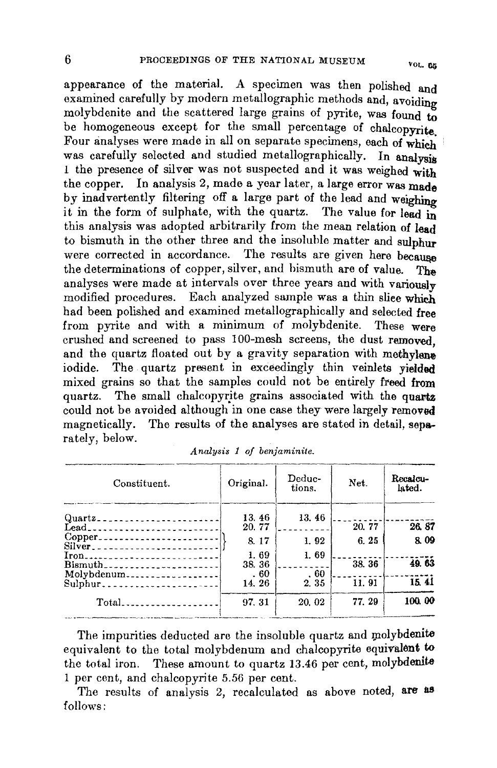appearance of the material. A specimen was then polished and examined carefully by modern metallographic methods and, avoiding molybdenite and the scattered large grains of pyrite, Was found to be homogeneous except for the small percentage of chalcopyrite Four analyses were made in all on separate specimens, each of whieh was carefully selected and studied metallographically. In analysis 1 the presence of silver was not suspected and it was weighed with the copper. In analysis 2, made a year later, a large error Was made by inadvertently filtering off a large part of the lead and weighing it in the form of sulphate, with the quartz. The value for lead in this analysis was adopted arbitrarily from the mean relation of lead to bismuth in the other three and the insoluble matter and sulphur were corrected in accordance. The results are given here because the determinations of copper, silver, and bismuth are of value. The analyses were made at intervals over three years and with variously modified procedures. Each analyzed sample was a thin sliee whieh had been polished and examined metallographically and selected free from pyrite and with a minimum of molybdenite. These were crushed and screened to pass IOO-mesh screens, the dust removed, and the quartz floated out by a gravity separation with methylene iodide. The quartz present in exceedingly thin veinlets vielded mixed grains so that the samples could not be entirely freed from quartz. The small chalcopyrite grains associated with the quartz could not be avoided although in one case they were largely removed magnetically. The results of the analyses are stated in detail, separately, below.

| Constituent.                              | Original. | Deduc-<br>tions. | Net.  | Recalcu-<br>lated. |
|-------------------------------------------|-----------|------------------|-------|--------------------|
|                                           | 13.46     | 13.46            |       |                    |
| Lead__________________________            | 20.77     |                  | 20.77 | 26.87              |
| Copper_________________________<br>Silver | 8.17      | 1, 92            | 6.25  | 8.09               |
| Iron                                      | 1.69      | 1.69             |       |                    |
| Bismuth                                   | 38.36     |                  | 38.36 | 49.63              |
| Molybdenum                                | . 60      | .60              |       |                    |
| Sulphur                                   | 14.26     | 2.35             | 11.91 | 15.41              |
| Total                                     | 97.31     | 20.02            | 77.29 | 100.00             |
|                                           |           |                  |       |                    |

|  |  |  | Analysis 1 of benjaminite. |
|--|--|--|----------------------------|
|--|--|--|----------------------------|

The impurities deducted are the insoluble quartz and molybdenite equivalent to the total molybdenum and chalcopyrite equivalent to the total iron. These amount to quartz 13.46 per cent, molybdenite 1 per cent, and chalcopyrite 5.56 per cent.

The results of analysis 2, recalculated as above noted, are as follows: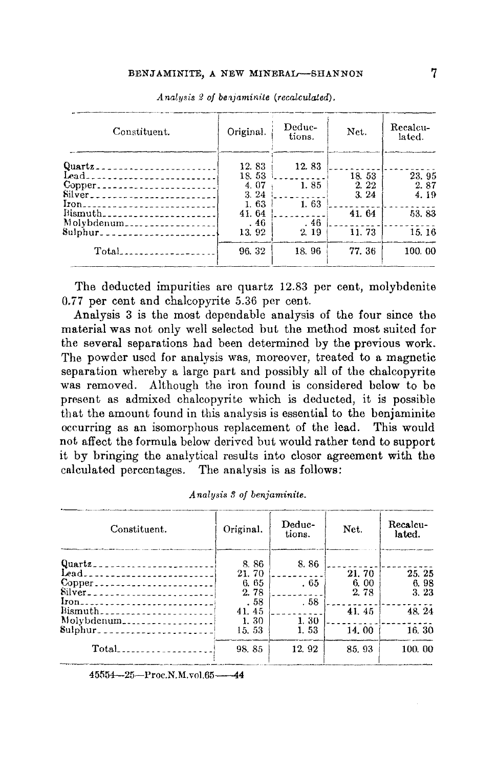| Constituent.                                                                                                     | Original.            | Deduc-<br>tions. | Net.         | Recalcu-<br>lated. |
|------------------------------------------------------------------------------------------------------------------|----------------------|------------------|--------------|--------------------|
| Quartz_________________________<br>Lead                                                                          | 12.83<br>18.53       | 12.83            | 18.53        | 23.95              |
| Silver <sub>------------------------</sub>                                                                       | 4.07<br>3.24<br>1.63 | 1.85<br>1.63     | 2.22<br>3.24 | 2.87<br>4.19       |
| Iron <sub>----------------------------</sub> -<br>Bismuth_______________________<br>Molybdenum__________________ | 41.64<br>. 46        | .46              | 41.64        | 53.83              |
| 8ulphur_______________________                                                                                   | 13.92                | 2.19             | 11.73        | 15.16              |
|                                                                                                                  | 96.32                | 18.96            | 77.36        | 100.00             |

Analysis 2 of benjaminite (recalculated).

The deducted impurities are quartz 12.83 per cent, molybdenite 0.77 per cent and chalcopyrite 5.36 per cent.

Analysis 3 is the most dependable analysis of the four since the material was not only well selected but the method most suited for the several separations had been determined by the previous work. The powder used for analysis was, moreover, treated to a magnetic separation whereby a large part and possibly all of the chalcopyrite was removed. Although the iron found is considered below to be present as admixed chalcopyrite which is deducted, it is possible that the amount found in this analysis is essential to the benjaminite occurring as an isomorphous replacement of the lead. This would not affect the formula below derived but would rather tend to support it by bringing the analytical results into closer agreement with the calculated percentages. The analysis is as follows:

| Constituent.                                 | Original. | Deduc-<br>tions. | Net.  | Recalcu-<br>lated. |
|----------------------------------------------|-----------|------------------|-------|--------------------|
| Quartz_________________________              | 8.86      | 8.86             |       |                    |
| Lead                                         | 21.70     |                  | 21.70 | 25.25              |
|                                              | 6.65      | . 65             | 6.00  | 6.98               |
| Silver <sub>-----------------------</sub>    | 2.78      |                  | 2.78  | 3.23               |
| Iron <sub>----------------------------</sub> | . 58      | .58              |       |                    |
| Bismuth-----------------------               | 41.45     |                  | 41.45 | 48.24              |
| Molybdenum                                   | 1.30      | 1.30             |       |                    |
|                                              | 15.53     | 1.53             | 14.00 | 16.30              |
|                                              | 98.85     | 12.92            | 85.93 | 100.00             |

Analysis 3 of benjaminite.

45554-25-Proc.N.M.vol.65-44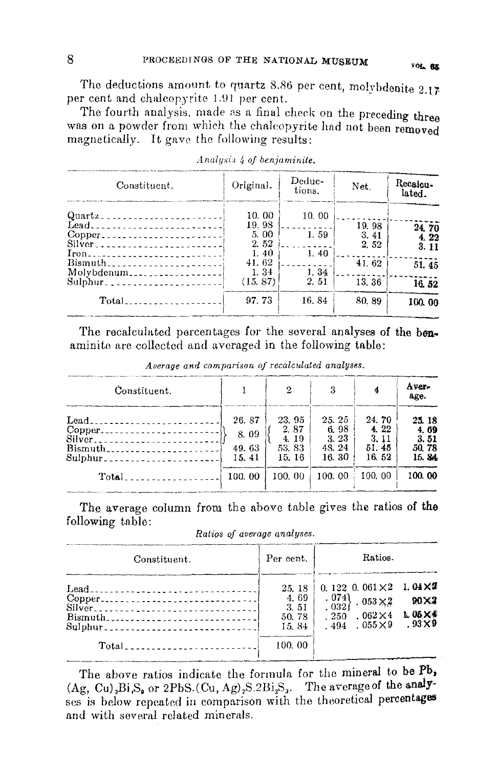The deductions amount to quartz 8.86 per cent, molybdenite 2.17 per cent and chalcopyrite 1.91 per cent.

The fourth analysis, made as a final check on the preceding three was on a powder from which the chalcopyrite had not been removed magnetically. It gave the following results:

| Constituent.                                             | Original.             | Deduc-<br>tions. | Net.                  | Recalcu-<br>lated. |
|----------------------------------------------------------|-----------------------|------------------|-----------------------|--------------------|
| $Quartz$ ------------------------                        | 10.00                 | 10.00            |                       |                    |
| Lead<br>Copper<br><b>*******************</b> *<br>Silver | 19.98<br>5.00<br>2.52 | 1.59             | 19.98<br>3.41<br>2.52 | 24.70<br>4.22      |
| Iron <sub>---</sub> ----------------------               | 1.40<br>41.62         | 1.40             | 41.62                 | 3.11<br>51.45      |
| Molvbdenum                                               | 1.34<br>(15, 87)      | 1.34<br>2.51     | 13.36                 | 16.52              |
| $Total$ <sub>1</sub>                                     | 97.73                 | 16.84            | 80, 89                | 100.00             |

| Analysis 4 of benjaminite. |  |  |  |  |
|----------------------------|--|--|--|--|

The recalculated percentages for the several analyses of the benaminite are collected and averaged in the following table:

| Constituent.                                                             |                                           | $\overline{2}$                                     | 3                                                  |                                                   | Ayer-<br>age.                                       |
|--------------------------------------------------------------------------|-------------------------------------------|----------------------------------------------------|----------------------------------------------------|---------------------------------------------------|-----------------------------------------------------|
| Lead<br>Copper<br>Silver<br>Bismuth<br>$Sulphur_{2}$<br>$Total \sim 100$ | 26.87<br>8.09<br>49.63<br>15.41<br>100.00 | 23, 95<br>2.87<br>4.19<br>53.83<br>15.16<br>100.00 | 25.25<br>6.98<br>3.23<br>48.24<br>16, 30<br>100.00 | 24.70<br>4.22<br>3.11<br>51.45<br>16.52<br>100.00 | 25, 18<br>4.69<br>3.51<br>50, 78<br>15.84<br>100.00 |

Average and comparison of recalculated analyses.

The average column from the above table gives the ratios of the following table:

| Ratios of average analyses. |
|-----------------------------|
|-----------------------------|

| Constituent.                         | Per cent.                                         | Ratios.                                                                                                                                                                                            |                      |
|--------------------------------------|---------------------------------------------------|----------------------------------------------------------------------------------------------------------------------------------------------------------------------------------------------------|----------------------|
| Copper<br>Silver<br>Bismuth<br>Total | 25.18<br>4,69<br>3.51<br>50.78<br>15.84<br>100.00 | 0. 122 0. 061 $\times$ 2 1. 04 $\times$ 2<br>$\left[\begin{smallmatrix} 074 \ 032 \end{smallmatrix}\right]$ , $053 \times 2$ .<br>. $250$ . $062 \times 4$ L 05 $\times$ 4<br>$.494-.055 \times 9$ | 90×2<br>$.93\times9$ |

The above ratios indicate the formula for the mineral to be Pb,  $(Ag, Cu)$ <sub>2</sub>Bi<sub>1</sub>S<sub>2</sub> or 2PbS.  $(Cu, Ag)$ <sub>2</sub>S. 2Bi<sub>2</sub>S<sub>3</sub>. The average of the analyses is below repeated in comparison with the theoretical percentages and with several related minerals.